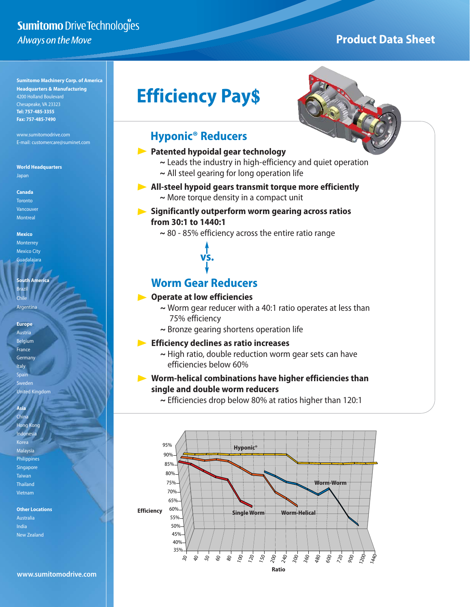# Sumitomo Drive Technologies Always on the Move

# **Product Data Sheet**

**Sumitomo Machinery Corp. of America Headquarters & Manufacturing** 4200 Holland Boulevard Chesapeake, VA 23323 **Tel: 757-485-3355 Fax: 757-485-7490**

www.sumitomodrive.com E-mail: customercare@suminet.com

**World Headquarters** Japan

**Canada** Toronto Vancouver **Montreal** 

**Mexico Monterrey** Mexico City

Guadalajara

**South America** Brazil

Argentina

Chile

**Europe** Austria Belgium France Germany Italy Spain Sweden United Kingdom

**Asia** China Hong Kong **Indonesia** Korea Malaysia Philippines Singapore Taiwan

Thailand Vietnam

**Other Locations**  Australia India New Zealand



# **Efficiency Pay\$**

## **Hyponic® Reducers**

### **Patented hypoidal gear technology**

- **~** Leads the industry in high-efficiency and quiet operation
- **~** All steel gearing for long operation life

## **All-steel hypoid gears transmit torque more efficiently**

**~** More torque density in a compact unit

## **Significantly outperform worm gearing across ratios from 30:1 to 1440:1**

**~** 80 - 85% efficiency across the entire ratio range

**vs.**

## **Worm Gear Reducers**

## **Operate at low efficiencies**

- **~** Worm gear reducer with a 40:1 ratio operates at less than 75% efficiency
- **~** Bronze gearing shortens operation life

## **Efficiency declines as ratio increases**

**~** High ratio, double reduction worm gear sets can have efficiencies below 60%

## **Worm-helical combinations have higher efficiencies than single and double worm reducers**

**~** Efficiencies drop below 80% at ratios higher than 120:1